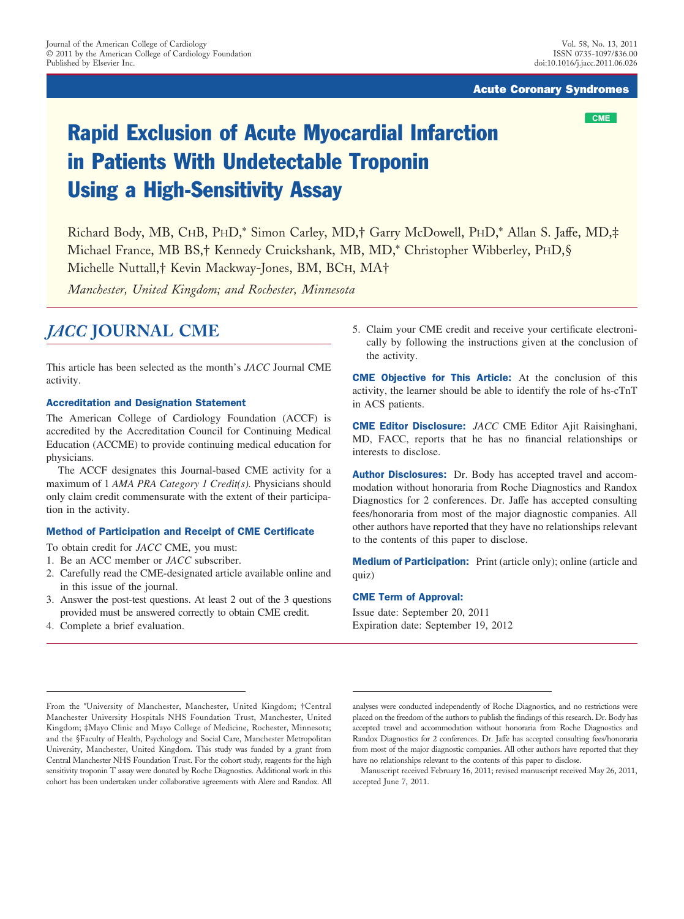**CME** 

# Rapid Exclusion of Acute Myocardial Infarction in Patients With Undetectable Troponin Using a High-Sensitivity Assay

Richard Body, MB, CHB, PHD,\* Simon Carley, MD,† Garry McDowell, PHD,\* Allan S. Jaffe, MD,‡ Michael France, MB BS,† Kennedy Cruickshank, MB, MD,\* Christopher Wibberley, PHD,§ Michelle Nuttall,† Kevin Mackway-Jones, BM, BCH, MA†

*Manchester, United Kingdom; and Rochester, Minnesota*

### *JACC* **JOURNAL CME**

This article has been selected as the month's *JACC* Journal CME activity.

#### Accreditation and Designation Statement

The American College of Cardiology Foundation (ACCF) is accredited by the Accreditation Council for Continuing Medical Education (ACCME) to provide continuing medical education for physicians.

The ACCF designates this Journal-based CME activity for a maximum of 1 *AMA PRA Category 1 Credit(s).* Physicians should only claim credit commensurate with the extent of their participation in the activity.

#### Method of Participation and Receipt of CME Certificate

To obtain credit for *JACC* CME, you must:

- 1. Be an ACC member or *JACC* subscriber.
- 2. Carefully read the CME-designated article available online and in this issue of the journal.
- 3. Answer the post-test questions. At least 2 out of the 3 questions provided must be answered correctly to obtain CME credit.
- 4. Complete a brief evaluation.

5. Claim your CME credit and receive your certificate electronically by following the instructions given at the conclusion of the activity.

CME Objective for This Article: At the conclusion of this activity, the learner should be able to identify the role of hs-cTnT in ACS patients.

CME Editor Disclosure: *JACC* CME Editor Ajit Raisinghani, MD, FACC, reports that he has no financial relationships or interests to disclose.

Author Disclosures: Dr. Body has accepted travel and accommodation without honoraria from Roche Diagnostics and Randox Diagnostics for 2 conferences. Dr. Jaffe has accepted consulting fees/honoraria from most of the major diagnostic companies. All other authors have reported that they have no relationships relevant to the contents of this paper to disclose.

**Medium of Participation:** Print (article only); online (article and quiz)

#### CME Term of Approval:

Issue date: September 20, 2011 Expiration date: September 19, 2012

From the \*University of Manchester, Manchester, United Kingdom; †Central Manchester University Hospitals NHS Foundation Trust, Manchester, United Kingdom; ‡Mayo Clinic and Mayo College of Medicine, Rochester, Minnesota; and the §Faculty of Health, Psychology and Social Care, Manchester Metropolitan University, Manchester, United Kingdom. This study was funded by a grant from Central Manchester NHS Foundation Trust. For the cohort study, reagents for the high sensitivity troponin T assay were donated by Roche Diagnostics. Additional work in this cohort has been undertaken under collaborative agreements with Alere and Randox. All

analyses were conducted independently of Roche Diagnostics, and no restrictions were placed on the freedom of the authors to publish the findings of this research. Dr. Body has accepted travel and accommodation without honoraria from Roche Diagnostics and Randox Diagnostics for 2 conferences. Dr. Jaffe has accepted consulting fees/honoraria from most of the major diagnostic companies. All other authors have reported that they have no relationships relevant to the contents of this paper to disclose.

Manuscript received February 16, 2011; revised manuscript received May 26, 2011, accepted June 7, 2011.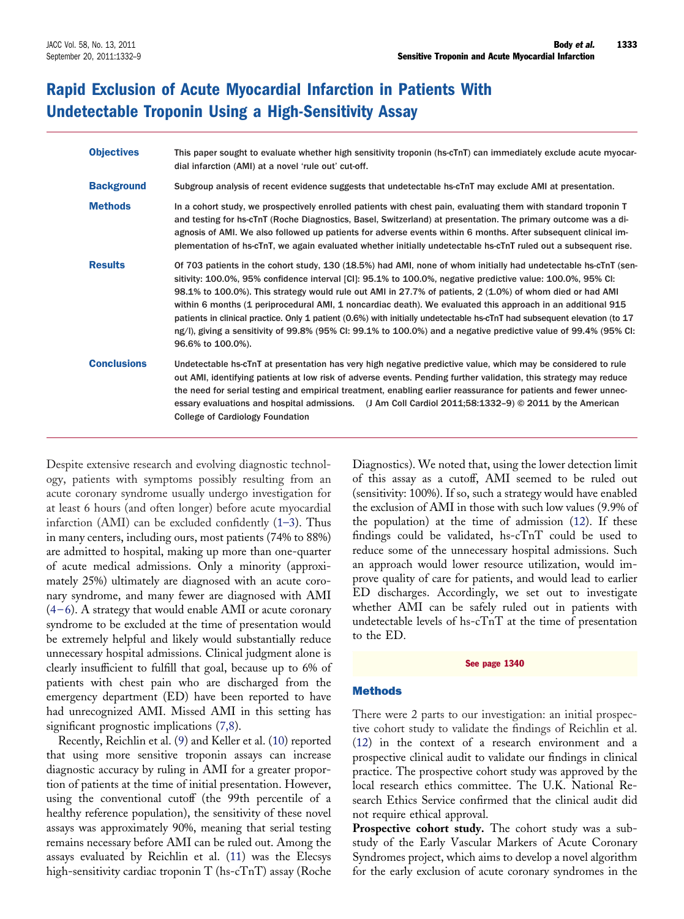## Rapid Exclusion of Acute Myocardial Infarction in Patients With Undetectable Troponin Using a High-Sensitivity Assay

| <b>Objectives</b>  | This paper sought to evaluate whether high sensitivity troponin (hs-cTnT) can immediately exclude acute myocar-<br>dial infarction (AMI) at a novel 'rule out' cut-off.                                                                                                                                                                                                                                                                                                                                                                                                                                                                                                                                                         |
|--------------------|---------------------------------------------------------------------------------------------------------------------------------------------------------------------------------------------------------------------------------------------------------------------------------------------------------------------------------------------------------------------------------------------------------------------------------------------------------------------------------------------------------------------------------------------------------------------------------------------------------------------------------------------------------------------------------------------------------------------------------|
| <b>Background</b>  | Subgroup analysis of recent evidence suggests that undetectable hs-cTnT may exclude AMI at presentation.                                                                                                                                                                                                                                                                                                                                                                                                                                                                                                                                                                                                                        |
| <b>Methods</b>     | In a cohort study, we prospectively enrolled patients with chest pain, evaluating them with standard troponin T<br>and testing for hs-cTnT (Roche Diagnostics, Basel, Switzerland) at presentation. The primary outcome was a di-<br>agnosis of AMI. We also followed up patients for adverse events within 6 months. After subsequent clinical im-<br>plementation of hs-cTnT, we again evaluated whether initially undetectable hs-cTnT ruled out a subsequent rise.                                                                                                                                                                                                                                                          |
| <b>Results</b>     | Of 703 patients in the cohort study, 130 (18.5%) had AMI, none of whom initially had undetectable hs-cTnT (sen-<br>sitivity: 100.0%, 95% confidence interval [CI]: 95.1% to 100.0%, negative predictive value: 100.0%, 95% CI:<br>98.1% to 100.0%). This strategy would rule out AMI in 27.7% of patients, 2 (1.0%) of whom died or had AMI<br>within 6 months (1 periprocedural AMI, 1 noncardiac death). We evaluated this approach in an additional 915<br>patients in clinical practice. Only 1 patient (0.6%) with initially undetectable hs-cTnT had subsequent elevation (to 17<br>ng/l), giving a sensitivity of 99.8% (95% Cl: 99.1% to 100.0%) and a negative predictive value of 99.4% (95% Cl:<br>96.6% to 100.0%). |
| <b>Conclusions</b> | Undetectable hs-cTnT at presentation has very high negative predictive value, which may be considered to rule<br>out AMI, identifying patients at low risk of adverse events. Pending further validation, this strategy may reduce<br>the need for serial testing and empirical treatment, enabling earlier reassurance for patients and fewer unnec-<br>essary evaluations and hospital admissions. (J Am Coll Cardiol 2011;58:1332-9) $\circledcirc$ 2011 by the American<br><b>College of Cardiology Foundation</b>                                                                                                                                                                                                          |

Despite extensive research and evolving diagnostic technology, patients with symptoms possibly resulting from an acute coronary syndrome usually undergo investigation for at least 6 hours (and often longer) before acute myocardial infarction (AMI) can be excluded confidently  $(1-3)$ . Thus in many centers, including ours, most patients (74% to 88%) are admitted to hospital, making up more than one-quarter of acute medical admissions. Only a minority (approximately 25%) ultimately are diagnosed with an acute coronary syndrome, and many fewer are diagnosed with AMI  $(4-6)$ . A strategy that would enable AMI or acute coronary syndrome to be excluded at the time of presentation would be extremely helpful and likely would substantially reduce unnecessary hospital admissions. Clinical judgment alone is clearly insufficient to fulfill that goal, because up to 6% of patients with chest pain who are discharged from the emergency department (ED) have been reported to have had unrecognized AMI. Missed AMI in this setting has significant prognostic implications [\(7,8\)](#page-7-2).

Recently, Reichlin et al. [\(9\)](#page-7-3) and Keller et al. [\(10\)](#page-7-4) reported that using more sensitive troponin assays can increase diagnostic accuracy by ruling in AMI for a greater proportion of patients at the time of initial presentation. However, using the conventional cutoff (the 99th percentile of a healthy reference population), the sensitivity of these novel assays was approximately 90%, meaning that serial testing remains necessary before AMI can be ruled out. Among the assays evaluated by Reichlin et al. [\(11\)](#page-7-5) was the Elecsys high-sensitivity cardiac troponin T (hs-cTnT) assay (Roche Diagnostics). We noted that, using the lower detection limit of this assay as a cutoff, AMI seemed to be ruled out (sensitivity: 100%). If so, such a strategy would have enabled the exclusion of AMI in those with such low values (9.9% of the population) at the time of admission [\(12\)](#page-7-0). If these findings could be validated, hs-cTnT could be used to reduce some of the unnecessary hospital admissions. Such an approach would lower resource utilization, would improve quality of care for patients, and would lead to earlier ED discharges. Accordingly, we set out to investigate whether AMI can be safely ruled out in patients with undetectable levels of hs-cTnT at the time of presentation to the ED.

#### See page 1340

#### Methods

There were 2 parts to our investigation: an initial prospective cohort study to validate the findings of Reichlin et al. [\(12\)](#page-7-0) in the context of a research environment and a prospective clinical audit to validate our findings in clinical practice. The prospective cohort study was approved by the local research ethics committee. The U.K. National Research Ethics Service confirmed that the clinical audit did not require ethical approval.

**Prospective cohort study.** The cohort study was a substudy of the Early Vascular Markers of Acute Coronary Syndromes project, which aims to develop a novel algorithm for the early exclusion of acute coronary syndromes in the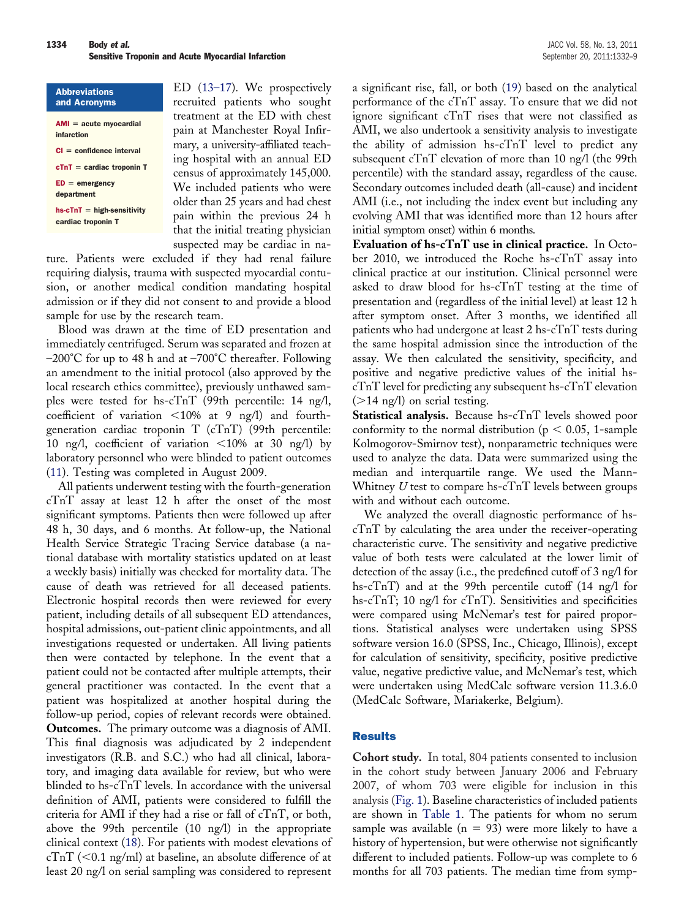| <b>Abbreviations</b><br>and Acronyms                      |
|-----------------------------------------------------------|
| $AMI = acute$ myocardial<br>infarction                    |
| $Cl =$ confidence interval                                |
| $cTnT = cardiac troponin T$                               |
| $ED = emergency$<br>department                            |
| $hs\text{-}cTnT = high-sensitivity$<br>cardiac troponin T |

ED [\(13–17\)](#page-7-6). We prospectively recruited patients who sought treatment at the ED with chest pain at Manchester Royal Infirmary, a university-affiliated teaching hospital with an annual ED census of approximately 145,000. We included patients who were older than 25 years and had chest pain within the previous 24 h that the initial treating physician suspected may be cardiac in na-

ture. Patients were excluded if they had renal failure requiring dialysis, trauma with suspected myocardial contusion, or another medical condition mandating hospital admission or if they did not consent to and provide a blood sample for use by the research team.

Blood was drawn at the time of ED presentation and immediately centrifuged. Serum was separated and frozen at –200°C for up to 48 h and at –700°C thereafter. Following an amendment to the initial protocol (also approved by the local research ethics committee), previously unthawed samples were tested for hs-cTnT (99th percentile: 14 ng/l, coefficient of variation  $\langle 10\%$  at 9 ng/l) and fourthgeneration cardiac troponin T (cTnT) (99th percentile: 10 ng/l, coefficient of variation  $\langle 10\%$  at 30 ng/l) by laboratory personnel who were blinded to patient outcomes [\(11\)](#page-7-5). Testing was completed in August 2009.

All patients underwent testing with the fourth-generation cTnT assay at least 12 h after the onset of the most significant symptoms. Patients then were followed up after 48 h, 30 days, and 6 months. At follow-up, the National Health Service Strategic Tracing Service database (a national database with mortality statistics updated on at least a weekly basis) initially was checked for mortality data. The cause of death was retrieved for all deceased patients. Electronic hospital records then were reviewed for every patient, including details of all subsequent ED attendances, hospital admissions, out-patient clinic appointments, and all investigations requested or undertaken. All living patients then were contacted by telephone. In the event that a patient could not be contacted after multiple attempts, their general practitioner was contacted. In the event that a patient was hospitalized at another hospital during the follow-up period, copies of relevant records were obtained. **Outcomes.** The primary outcome was a diagnosis of AMI. This final diagnosis was adjudicated by 2 independent investigators (R.B. and S.C.) who had all clinical, laboratory, and imaging data available for review, but who were blinded to hs-cTnT levels. In accordance with the universal definition of AMI, patients were considered to fulfill the criteria for AMI if they had a rise or fall of cTnT, or both, above the 99th percentile (10 ng/l) in the appropriate clinical context [\(18\)](#page-7-7). For patients with modest elevations of  $cTnT$  (<0.1 ng/ml) at baseline, an absolute difference of at least 20 ng/l on serial sampling was considered to represent

a significant rise, fall, or both [\(19\)](#page-7-8) based on the analytical performance of the cTnT assay. To ensure that we did not ignore significant cTnT rises that were not classified as AMI, we also undertook a sensitivity analysis to investigate the ability of admission hs-cTnT level to predict any subsequent cTnT elevation of more than 10 ng/l (the 99th percentile) with the standard assay, regardless of the cause. Secondary outcomes included death (all-cause) and incident AMI (i.e., not including the index event but including any evolving AMI that was identified more than 12 hours after initial symptom onset) within 6 months.

**Evaluation of hs-cTnT use in clinical practice.** In October 2010, we introduced the Roche hs-cTnT assay into clinical practice at our institution. Clinical personnel were asked to draw blood for hs-cTnT testing at the time of presentation and (regardless of the initial level) at least 12 h after symptom onset. After 3 months, we identified all patients who had undergone at least 2 hs-cTnT tests during the same hospital admission since the introduction of the assay. We then calculated the sensitivity, specificity, and positive and negative predictive values of the initial hscTnT level for predicting any subsequent hs-cTnT elevation  $($ >14 ng/l) on serial testing.

**Statistical analysis.** Because hs-cTnT levels showed poor conformity to the normal distribution ( $p < 0.05$ , 1-sample Kolmogorov-Smirnov test), nonparametric techniques were used to analyze the data. Data were summarized using the median and interquartile range. We used the Mann-Whitney *U* test to compare hs-cTnT levels between groups with and without each outcome.

We analyzed the overall diagnostic performance of hscTnT by calculating the area under the receiver-operating characteristic curve. The sensitivity and negative predictive value of both tests were calculated at the lower limit of detection of the assay (i.e., the predefined cutoff of 3 ng/l for hs-cTnT) and at the 99th percentile cutoff (14 ng/l for hs-cTnT; 10 ng/l for cTnT). Sensitivities and specificities were compared using McNemar's test for paired proportions. Statistical analyses were undertaken using SPSS software version 16.0 (SPSS, Inc., Chicago, Illinois), except for calculation of sensitivity, specificity, positive predictive value, negative predictive value, and McNemar's test, which were undertaken using MedCalc software version 11.3.6.0 (MedCalc Software, Mariakerke, Belgium).

#### **Results**

**Cohort study.** In total, 804 patients consented to inclusion in the cohort study between January 2006 and February 2007, of whom 703 were eligible for inclusion in this analysis [\(Fig. 1\)](#page-3-0). Baseline characteristics of included patients are shown in [Table 1.](#page-4-0) The patients for whom no serum sample was available ( $n = 93$ ) were more likely to have a history of hypertension, but were otherwise not significantly different to included patients. Follow-up was complete to 6 months for all 703 patients. The median time from symp-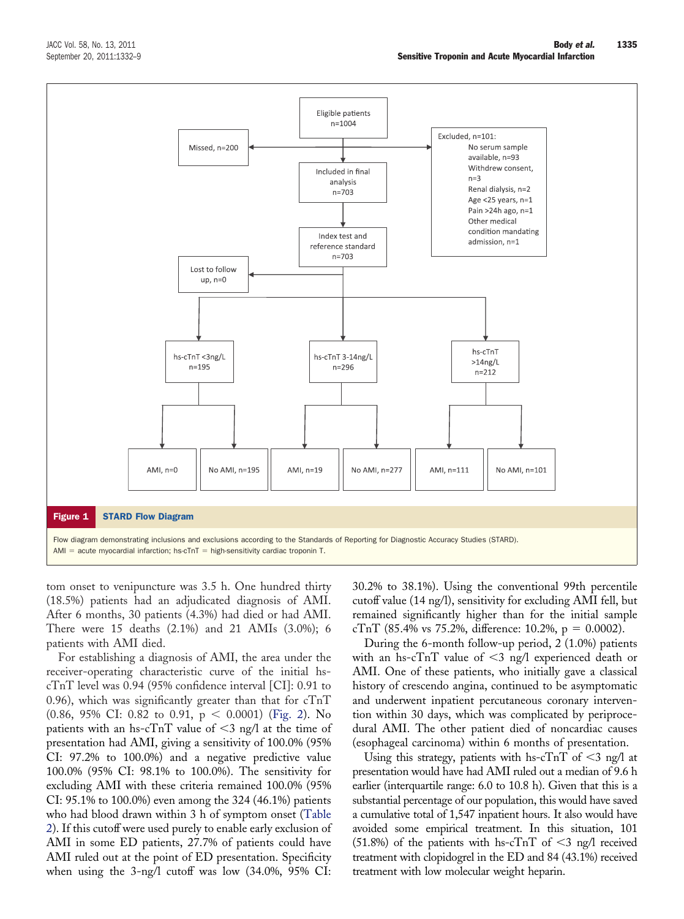

<span id="page-3-0"></span>tom onset to venipuncture was 3.5 h. One hundred thirty (18.5%) patients had an adjudicated diagnosis of AMI. After 6 months, 30 patients (4.3%) had died or had AMI. There were 15 deaths (2.1%) and 21 AMIs (3.0%); 6 patients with AMI died.

For establishing a diagnosis of AMI, the area under the receiver-operating characteristic curve of the initial hscTnT level was 0.94 (95% confidence interval [CI]: 0.91 to 0.96), which was significantly greater than that for  $cTnT$  $(0.86, 95\% \text{ CI: } 0.82 \text{ to } 0.91, \text{ p} < 0.0001) \text{ (Fig. 2). No}$  $(0.86, 95\% \text{ CI: } 0.82 \text{ to } 0.91, \text{ p} < 0.0001) \text{ (Fig. 2). No}$  $(0.86, 95\% \text{ CI: } 0.82 \text{ to } 0.91, \text{ p} < 0.0001) \text{ (Fig. 2). No}$ patients with an hs-cTnT value of  $\leq$ 3 ng/l at the time of presentation had AMI, giving a sensitivity of 100.0% (95% CI: 97.2% to 100.0%) and a negative predictive value 100.0% (95% CI: 98.1% to 100.0%). The sensitivity for excluding AMI with these criteria remained 100.0% (95% CI: 95.1% to 100.0%) even among the 324 (46.1%) patients who had blood drawn within 3 h of symptom onset [\(Table](#page-5-0) [2\)](#page-5-0). If this cutoff were used purely to enable early exclusion of AMI in some ED patients, 27.7% of patients could have AMI ruled out at the point of ED presentation. Specificity when using the 3-ng/l cutoff was low (34.0%, 95% CI:

30.2% to 38.1%). Using the conventional 99th percentile cutoff value (14 ng/l), sensitivity for excluding AMI fell, but remained significantly higher than for the initial sample cTnT (85.4% vs 75.2%, difference: 10.2%,  $p = 0.0002$ ).

During the 6-month follow-up period, 2 (1.0%) patients with an hs-cTnT value of  $\leq$ 3 ng/l experienced death or AMI. One of these patients, who initially gave a classical history of crescendo angina, continued to be asymptomatic and underwent inpatient percutaneous coronary intervention within 30 days, which was complicated by periprocedural AMI. The other patient died of noncardiac causes (esophageal carcinoma) within 6 months of presentation.

Using this strategy, patients with hs-cTnT of  $\leq$ 3 ng/l at presentation would have had AMI ruled out a median of 9.6 h earlier (interquartile range: 6.0 to 10.8 h). Given that this is a substantial percentage of our population, this would have saved a cumulative total of 1,547 inpatient hours. It also would have avoided some empirical treatment. In this situation, 101 (51.8%) of the patients with hs-cTnT of  $\leq$ 3 ng/l received treatment with clopidogrel in the ED and 84 (43.1%) received treatment with low molecular weight heparin.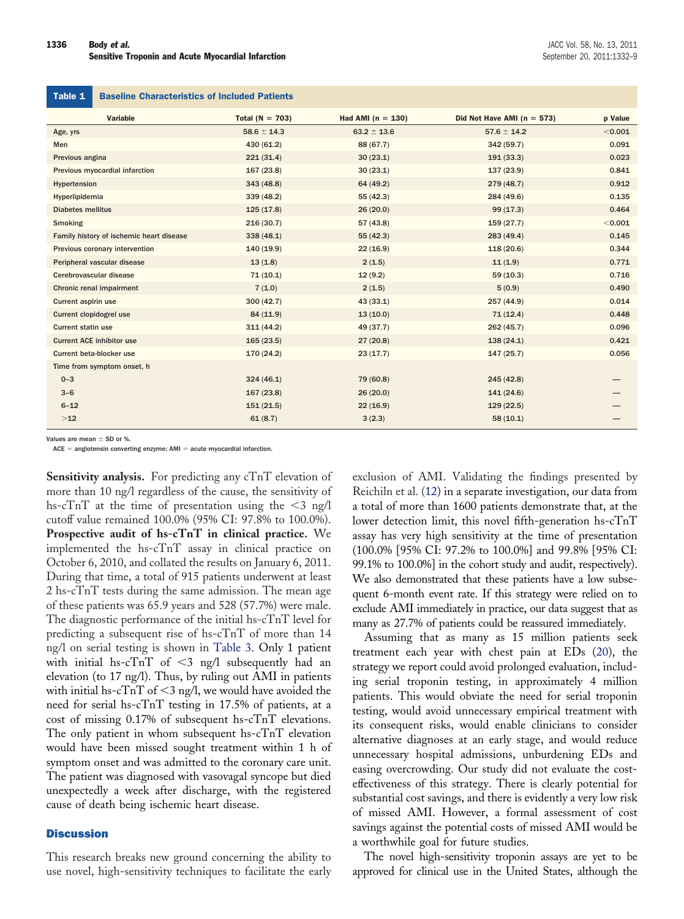#### <span id="page-4-0"></span>Table 1 Baseline Characteristics of Included Patients

| <b>Variable</b>                          | Total ( $N = 703$ ) | Had AMI ( $n = 130$ ) | Did Not Have AMI ( $n = 573$ ) | p Value |
|------------------------------------------|---------------------|-----------------------|--------------------------------|---------|
| Age, yrs                                 | $58.6 \pm 14.3$     | $63.2 \pm 13.6$       | $57.6 \pm 14.2$                | < 0.001 |
| Men                                      | 430 (61.2)          | 88 (67.7)             | 342 (59.7)                     | 0.091   |
| Previous angina                          | 221(31.4)           | 30(23.1)              | 191(33.3)                      | 0.023   |
| Previous myocardial infarction           | 167(23.8)           | 30(23.1)              | 137(23.9)                      | 0.841   |
| Hypertension                             | 343 (48.8)          | 64 (49.2)             | 279 (48.7)                     | 0.912   |
| Hyperlipidemia                           | 339 (48.2)          | 55(42.3)              | 284 (49.6)                     | 0.135   |
| <b>Diabetes mellitus</b>                 | 125(17.8)           | 26(20.0)              | 99(17.3)                       | 0.464   |
| <b>Smoking</b>                           | 216(30.7)           | 57 (43.8)             | 159(27.7)                      | < 0.001 |
| Family history of ischemic heart disease | 338(48.1)           | 55(42.3)              | 283(49.4)                      | 0.145   |
| Previous coronary intervention           | 140(19.9)           | 22(16.9)              | 118(20.6)                      | 0.344   |
| Peripheral vascular disease              | 13(1.8)             | 2(1.5)                | 11(1.9)                        | 0.771   |
| Cerebrovascular disease                  | 71(10.1)            | 12(9.2)               | 59(10.3)                       | 0.716   |
| Chronic renal impairment                 | 7(1.0)              | 2(1.5)                | 5(0.9)                         | 0.490   |
| Current aspirin use                      | 300(42.7)           | 43(33.1)              | 257 (44.9)                     | 0.014   |
| Current clopidogrel use                  | 84 (11.9)           | 13(10.0)              | 71(12.4)                       | 0.448   |
| <b>Current statin use</b>                | 311(44.2)           | 49 (37.7)             | 262(45.7)                      | 0.096   |
| <b>Current ACE inhibitor use</b>         | 165(23.5)           | 27(20.8)              | 138(24.1)                      | 0.421   |
| Current beta-blocker use                 | 170(24.2)           | 23(17.7)              | 147(25.7)                      | 0.056   |
| Time from symptom onset, h               |                     |                       |                                |         |
| $0 - 3$                                  | 324(46.1)           | 79 (60.8)             | 245(42.8)                      |         |
| $3 - 6$                                  | 167(23.8)           | 26(20.0)              | 141(24.6)                      |         |
| $6 - 12$                                 | 151(21.5)           | 22(16.9)              | 129(22.5)                      |         |
| >12                                      | 61(8.7)             | 3(2.3)                | 58(10.1)                       |         |
|                                          |                     |                       |                                |         |

Values are mean  $\pm$  SD or %.

 $ACE = angiotensin converting$  enzyme; AMI  $=$  acute myocardial infarction.

**Sensitivity analysis.** For predicting any cTnT elevation of more than 10 ng/l regardless of the cause, the sensitivity of hs-cTnT at the time of presentation using the  $\leq$ 3 ng/l cutoff value remained 100.0% (95% CI: 97.8% to 100.0%). **Prospective audit of hs-cTnT in clinical practice.** We implemented the hs-cTnT assay in clinical practice on October 6, 2010, and collated the results on January 6, 2011. During that time, a total of 915 patients underwent at least 2 hs-cTnT tests during the same admission. The mean age of these patients was 65.9 years and 528 (57.7%) were male. The diagnostic performance of the initial hs-cTnT level for predicting a subsequent rise of hs-cTnT of more than 14 ng/l on serial testing is shown in [Table 3.](#page-6-1) Only 1 patient with initial hs-c $TnT$  of  $\leq$ 3 ng/l subsequently had an elevation (to 17 ng/l). Thus, by ruling out AMI in patients with initial hs-c $TnT$  of  $\leq$ 3 ng/l, we would have avoided the need for serial hs-cTnT testing in 17.5% of patients, at a cost of missing 0.17% of subsequent hs-cTnT elevations. The only patient in whom subsequent hs-cTnT elevation would have been missed sought treatment within 1 h of symptom onset and was admitted to the coronary care unit. The patient was diagnosed with vasovagal syncope but died unexpectedly a week after discharge, with the registered cause of death being ischemic heart disease.

#### **Discussion**

This research breaks new ground concerning the ability to use novel, high-sensitivity techniques to facilitate the early exclusion of AMI. Validating the findings presented by Reichiln et al. [\(12\)](#page-7-0) in a separate investigation, our data from a total of more than 1600 patients demonstrate that, at the lower detection limit, this novel fifth-generation hs-cTnT assay has very high sensitivity at the time of presentation (100.0% [95% CI: 97.2% to 100.0%] and 99.8% [95% CI: 99.1% to 100.0%] in the cohort study and audit, respectively). We also demonstrated that these patients have a low subsequent 6-month event rate. If this strategy were relied on to exclude AMI immediately in practice, our data suggest that as many as 27.7% of patients could be reassured immediately.

Assuming that as many as 15 million patients seek treatment each year with chest pain at EDs [\(20\)](#page-7-9), the strategy we report could avoid prolonged evaluation, including serial troponin testing, in approximately 4 million patients. This would obviate the need for serial troponin testing, would avoid unnecessary empirical treatment with its consequent risks, would enable clinicians to consider alternative diagnoses at an early stage, and would reduce unnecessary hospital admissions, unburdening EDs and easing overcrowding. Our study did not evaluate the costeffectiveness of this strategy. There is clearly potential for substantial cost savings, and there is evidently a very low risk of missed AMI. However, a formal assessment of cost savings against the potential costs of missed AMI would be a worthwhile goal for future studies.

The novel high-sensitivity troponin assays are yet to be approved for clinical use in the United States, although the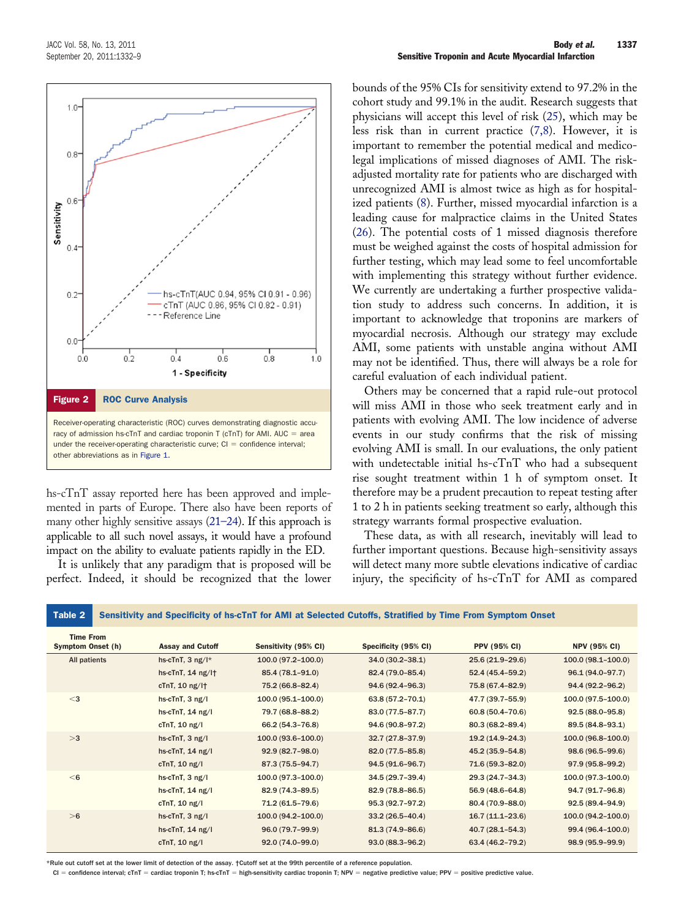

<span id="page-5-1"></span>hs-cTnT assay reported here has been approved and implemented in parts of Europe. There also have been reports of many other highly sensitive assays [\(21–24\)](#page-7-10). If this approach is applicable to all such novel assays, it would have a profound impact on the ability to evaluate patients rapidly in the ED.

<span id="page-5-0"></span>It is unlikely that any paradigm that is proposed will be perfect. Indeed, it should be recognized that the lower

bounds of the 95% CIs for sensitivity extend to 97.2% in the cohort study and 99.1% in the audit. Research suggests that physicians will accept this level of risk [\(25\)](#page-7-11), which may be less risk than in current practice [\(7,8\)](#page-7-2). However, it is important to remember the potential medical and medicolegal implications of missed diagnoses of AMI. The riskadjusted mortality rate for patients who are discharged with unrecognized AMI is almost twice as high as for hospitalized patients [\(8\)](#page-7-12). Further, missed myocardial infarction is a leading cause for malpractice claims in the United States [\(26\)](#page-7-13). The potential costs of 1 missed diagnosis therefore must be weighed against the costs of hospital admission for further testing, which may lead some to feel uncomfortable with implementing this strategy without further evidence. We currently are undertaking a further prospective validation study to address such concerns. In addition, it is important to acknowledge that troponins are markers of myocardial necrosis. Although our strategy may exclude AMI, some patients with unstable angina without AMI may not be identified. Thus, there will always be a role for careful evaluation of each individual patient.

Others may be concerned that a rapid rule-out protocol will miss AMI in those who seek treatment early and in patients with evolving AMI. The low incidence of adverse events in our study confirms that the risk of missing evolving AMI is small. In our evaluations, the only patient with undetectable initial hs-cTnT who had a subsequent rise sought treatment within 1 h of symptom onset. It therefore may be a prudent precaution to repeat testing after 1 to 2 h in patients seeking treatment so early, although this strategy warrants formal prospective evaluation.

These data, as with all research, inevitably will lead to further important questions. Because high-sensitivity assays will detect many more subtle elevations indicative of cardiac injury, the specificity of hs-cTnT for AMI as compared

| Table 2                                                                                                                                                        |                                |                    | Sensitivity and Specificity of hs-cTnT for AMI at Selected Cutoffs, Stratified by Time From Symptom Onset |                     |                     |  |
|----------------------------------------------------------------------------------------------------------------------------------------------------------------|--------------------------------|--------------------|-----------------------------------------------------------------------------------------------------------|---------------------|---------------------|--|
| <b>Time From</b><br>Symptom Onset (h)<br><b>Assay and Cutoff</b><br>Sensitivity (95% CI)<br>Specificity (95% CI)<br><b>PPV (95% CI)</b><br><b>NPV (95% CI)</b> |                                |                    |                                                                                                           |                     |                     |  |
| All patients                                                                                                                                                   | hs-cTnT, $3$ ng/l*             | 100.0 (97.2-100.0) | 34.0 (30.2-38.1)                                                                                          | 25.6 (21.9-29.6)    | 100.0 (98.1-100.0)  |  |
|                                                                                                                                                                | hs-c $TnT$ , 14 ng/l $\dagger$ | 85.4 (78.1-91.0)   | 82.4 (79.0-85.4)                                                                                          | $52.4(45.4 - 59.2)$ | 96.1 (94.0-97.7)    |  |
|                                                                                                                                                                | $cTnT$ , 10 $ng/l$             | 75.2 (66.8-82.4)   | 94.6 (92.4-96.3)                                                                                          | 75.8 (67.4-82.9)    | 94.4 (92.2-96.2)    |  |
| $<$ 3                                                                                                                                                          | hs-c $TnT$ , 3 ng/l            | 100.0 (95.1-100.0) | 63.8 (57.2-70.1)                                                                                          | 47.7 (39.7-55.9)    | 100.0 (97.5-100.0)  |  |
|                                                                                                                                                                | hs-c $TnT$ , 14 ng/l           | 79.7 (68.8-88.2)   | 83.0 (77.5-87.7)                                                                                          | 60.8 (50.4-70.6)    | 92.5 (88.0-95.8)    |  |
|                                                                                                                                                                | $cTnT$ , 10 $ng/l$             | 66.2 (54.3-76.8)   | 94.6 (90.8-97.2)                                                                                          | 80.3 (68.2-89.4)    | 89.5 (84.8-93.1)    |  |
| >3                                                                                                                                                             | hs-c $TnT$ , 3 ng/l            | 100.0 (93.6-100.0) | 32.7 (27.8-37.9)                                                                                          | 19.2 (14.9-24.3)    | 100.0 (96.8-100.0)  |  |
|                                                                                                                                                                | hs-c $TnT$ , 14 ng/l           | $92.9(82.7-98.0)$  | 82.0 (77.5-85.8)                                                                                          | 45.2 (35.9-54.8)    | 98.6 (96.5-99.6)    |  |
|                                                                                                                                                                | $cTnT$ , 10 $ng/l$             | 87.3 (75.5-94.7)   | 94.5 (91.6-96.7)                                                                                          | 71.6 (59.3-82.0)    | 97.9 (95.8-99.2)    |  |
| $<$ 6                                                                                                                                                          | hs-c $TnT$ , 3 ng/l            | 100.0 (97.3-100.0) | 34.5 (29.7-39.4)                                                                                          | 29.3 (24.7-34.3)    | 100.0 (97.3-100.0)  |  |
|                                                                                                                                                                | hs-c $TnT$ , 14 ng/l           | 82.9 (74.3-89.5)   | 82.9 (78.8-86.5)                                                                                          | 56.9 (48.6-64.8)    | 94.7 (91.7-96.8)    |  |
|                                                                                                                                                                | $cTnT$ , 10 $ng/l$             | 71.2 (61.5-79.6)   | 95.3 (92.7-97.2)                                                                                          | 80.4 (70.9-88.0)    | $92.5(89.4 - 94.9)$ |  |
| >6                                                                                                                                                             | hs-c $TnT$ , 3 ng/l            | 100.0 (94.2-100.0) | $33.2(26.5 - 40.4)$                                                                                       | $16.7(11.1 - 23.6)$ | 100.0 (94.2-100.0)  |  |
|                                                                                                                                                                | hs-c $TnT$ , 14 ng/l           | 96.0 (79.7-99.9)   | 81.3 (74.9-86.6)                                                                                          | $40.7(28.1 - 54.3)$ | 99.4 (96.4-100.0)   |  |
|                                                                                                                                                                | $cTnT$ , 10 $ng/l$             | 92.0 (74.0-99.0)   | 93.0 (88.3-96.2)                                                                                          | 63.4 (46.2-79.2)    | 98.9 (95.9-99.9)    |  |

\*Rule out cutoff set at the lower limit of detection of the assay. †Cutoff set at the 99th percentile of a reference population.

 $CI =$  confidence interval; cTnT = cardiac troponin T; hs-cTnT = high-sensitivity cardiac troponin T; NPV = negative predictive value; PPV = positive predictive value.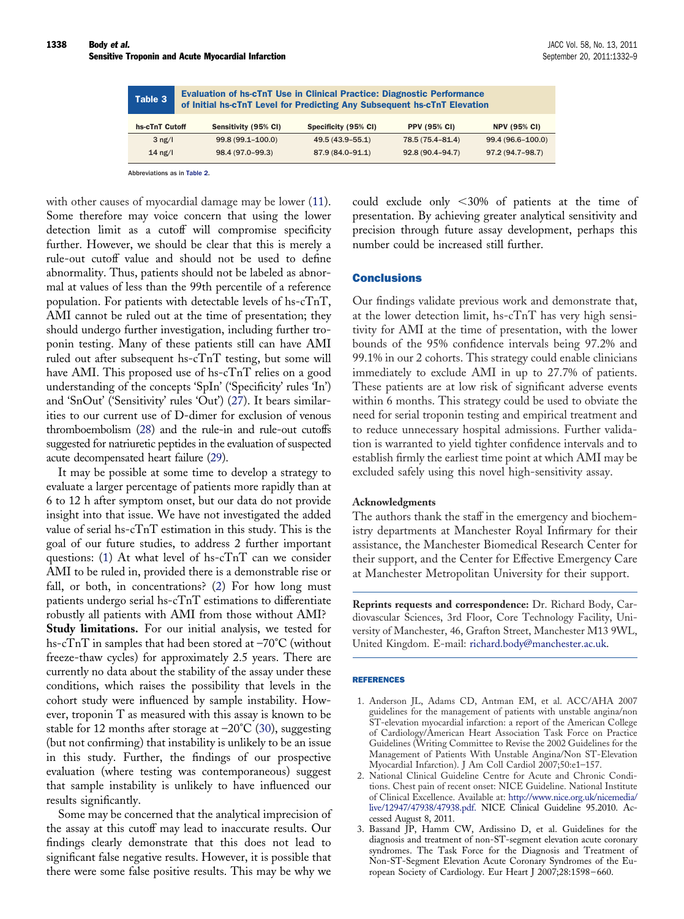<span id="page-6-1"></span>

| Table 3        | <b>Evaluation of hs-cTnT Use in Clinical Practice: Diagnostic Performance</b><br>of Initial hs-cTnT Level for Predicting Any Subsequent hs-cTnT Elevation |                      |                      |                     |                     |  |
|----------------|-----------------------------------------------------------------------------------------------------------------------------------------------------------|----------------------|----------------------|---------------------|---------------------|--|
| hs-cTnT Cutoff |                                                                                                                                                           | Sensitivity (95% CI) | Specificity (95% CI) | <b>PPV (95% CI)</b> | <b>NPV (95% CI)</b> |  |
| $3$ ng/l       |                                                                                                                                                           | 99.8 (99.1-100.0)    | 49.5 (43.9-55.1)     | 78.5 (75.4-81.4)    | 99.4 (96.6-100.0)   |  |
| $14$ ng/l      |                                                                                                                                                           | 98.4 (97.0-99.3)     | 87.9 (84.0-91.1)     | 92.8 (90.4-94.7)    | 97.2 (94.7-98.7)    |  |

Abbreviations as in [Table 2.](#page-5-0)

with other causes of myocardial damage may be lower [\(11\)](#page-7-5). Some therefore may voice concern that using the lower detection limit as a cutoff will compromise specificity further. However, we should be clear that this is merely a rule-out cutoff value and should not be used to define abnormality. Thus, patients should not be labeled as abnormal at values of less than the 99th percentile of a reference population. For patients with detectable levels of hs-cTnT, AMI cannot be ruled out at the time of presentation; they should undergo further investigation, including further troponin testing. Many of these patients still can have AMI ruled out after subsequent hs-cTnT testing, but some will have AMI. This proposed use of hs-cTnT relies on a good understanding of the concepts 'SpIn' ('Specificity' rules 'In') and 'SnOut' ('Sensitivity' rules 'Out') [\(27\)](#page-7-14). It bears similarities to our current use of D-dimer for exclusion of venous thromboembolism [\(28\)](#page-7-15) and the rule-in and rule-out cutoffs suggested for natriuretic peptides in the evaluation of suspected acute decompensated heart failure [\(29\)](#page-7-16).

It may be possible at some time to develop a strategy to evaluate a larger percentage of patients more rapidly than at 6 to 12 h after symptom onset, but our data do not provide insight into that issue. We have not investigated the added value of serial hs-cTnT estimation in this study. This is the goal of our future studies, to address 2 further important questions: [\(1\)](#page-6-0) At what level of hs-cTnT can we consider AMI to be ruled in, provided there is a demonstrable rise or fall, or both, in concentrations? [\(2\)](#page-6-2) For how long must patients undergo serial hs-cTnT estimations to differentiate robustly all patients with AMI from those without AMI? **Study limitations.** For our initial analysis, we tested for hs-cTnT in samples that had been stored at –70°C (without freeze-thaw cycles) for approximately 2.5 years. There are currently no data about the stability of the assay under these conditions, which raises the possibility that levels in the cohort study were influenced by sample instability. However, troponin T as measured with this assay is known to be stable for 12 months after storage at  $-20^{\circ}$ C [\(30\)](#page-7-17), suggesting (but not confirming) that instability is unlikely to be an issue in this study. Further, the findings of our prospective evaluation (where testing was contemporaneous) suggest that sample instability is unlikely to have influenced our results significantly.

Some may be concerned that the analytical imprecision of the assay at this cutoff may lead to inaccurate results. Our findings clearly demonstrate that this does not lead to significant false negative results. However, it is possible that there were some false positive results. This may be why we

could exclude only  $<30\%$  of patients at the time of presentation. By achieving greater analytical sensitivity and precision through future assay development, perhaps this number could be increased still further.

#### **Conclusions**

Our findings validate previous work and demonstrate that, at the lower detection limit, hs-cTnT has very high sensitivity for AMI at the time of presentation, with the lower bounds of the 95% confidence intervals being 97.2% and 99.1% in our 2 cohorts. This strategy could enable clinicians immediately to exclude AMI in up to 27.7% of patients. These patients are at low risk of significant adverse events within 6 months. This strategy could be used to obviate the need for serial troponin testing and empirical treatment and to reduce unnecessary hospital admissions. Further validation is warranted to yield tighter confidence intervals and to establish firmly the earliest time point at which AMI may be excluded safely using this novel high-sensitivity assay.

#### **Acknowledgments**

The authors thank the staff in the emergency and biochemistry departments at Manchester Royal Infirmary for their assistance, the Manchester Biomedical Research Center for their support, and the Center for Effective Emergency Care at Manchester Metropolitan University for their support.

**Reprints requests and correspondence:** Dr. Richard Body, Cardiovascular Sciences, 3rd Floor, Core Technology Facility, University of Manchester, 46, Grafton Street, Manchester M13 9WL, United Kingdom. E-mail: [richard.body@manchester.ac.uk.](mailto:richard.body@manchester.ac.uk)

#### <span id="page-6-0"></span>REFERENCES

- 1. Anderson JL, Adams CD, Antman EM, et al. ACC/AHA 2007 guidelines for the management of patients with unstable angina/non ST-elevation myocardial infarction: a report of the American College of Cardiology/American Heart Association Task Force on Practice Guidelines (Writing Committee to Revise the 2002 Guidelines for the Management of Patients With Unstable Angina/Non ST-Elevation Myocardial Infarction). J Am Coll Cardiol 2007;50:e1–157.
- <span id="page-6-2"></span>2. National Clinical Guideline Centre for Acute and Chronic Conditions. Chest pain of recent onset: NICE Guideline. National Institute of Clinical Excellence. Available at: [http://www.nice.org.uk/nicemedia/](http://www.nice.org.uk/nicemedia/live/12947/47938/47938.pdf) [live/12947/47938/47938.pdf.](http://www.nice.org.uk/nicemedia/live/12947/47938/47938.pdf) NICE Clinical Guideline 95.2010. Accessed August 8, 2011.
- 3. Bassand JP, Hamm CW, Ardissino D, et al. Guidelines for the diagnosis and treatment of non-ST-segment elevation acute coronary syndromes. The Task Force for the Diagnosis and Treatment of Non-ST-Segment Elevation Acute Coronary Syndromes of the European Society of Cardiology. Eur Heart J 2007;28:1598 – 660.